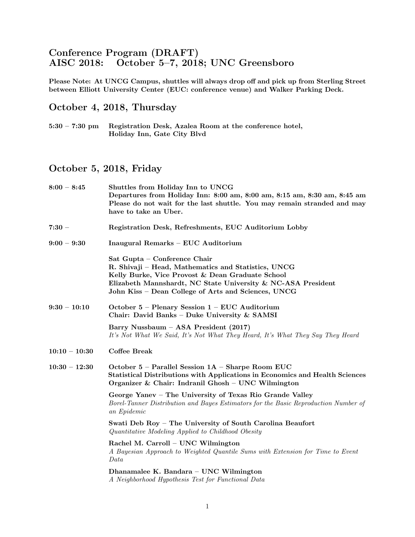## Conference Program (DRAFT)<br>AISC 2018: October 5-7, 2018 October 5–7, 2018; UNC Greensboro

Please Note: At UNCG Campus, shuttles will always drop off and pick up from Sterling Street between Elliott University Center (EUC: conference venue) and Walker Parking Deck.

## October 4, 2018, Thursday

5:30 – 7:30 pm Registration Desk, Azalea Room at the conference hotel, Holiday Inn, Gate City Blvd

## October 5, 2018, Friday

| $8:00 - 8:45$   | Shuttles from Holiday Inn to UNCG<br>Departures from Holiday Inn: 8:00 am, 8:00 am, 8:15 am, 8:30 am, 8:45 am<br>Please do not wait for the last shuttle. You may remain stranded and may<br>have to take an Uber.                                             |  |  |  |  |  |
|-----------------|----------------------------------------------------------------------------------------------------------------------------------------------------------------------------------------------------------------------------------------------------------------|--|--|--|--|--|
| $7:30 -$        | Registration Desk, Refreshments, EUC Auditorium Lobby                                                                                                                                                                                                          |  |  |  |  |  |
| $9:00 - 9:30$   | Inaugural Remarks - EUC Auditorium                                                                                                                                                                                                                             |  |  |  |  |  |
|                 | Sat Gupta - Conference Chair<br>R. Shivaji - Head, Mathematics and Statistics, UNCG<br>Kelly Burke, Vice Provost & Dean Graduate School<br>Elizabeth Mannshardt, NC State University & NC-ASA President<br>John Kiss - Dean College of Arts and Sciences, UNCG |  |  |  |  |  |
| $9:30 - 10:10$  | October 5 - Plenary Session $1 - EUC$ Auditorium<br>Chair: David Banks - Duke University $\&$ SAMSI                                                                                                                                                            |  |  |  |  |  |
|                 | Barry Nussbaum – ASA President (2017)<br>It's Not What We Said, It's Not What They Heard, It's What They Say They Heard                                                                                                                                        |  |  |  |  |  |
| $10:10 - 10:30$ | <b>Coffee Break</b>                                                                                                                                                                                                                                            |  |  |  |  |  |
| $10:30 - 12:30$ | October 5 – Parallel Session 1A – Sharpe Room EUC<br>Statistical Distributions with Applications in Economics and Health Sciences<br>Organizer & Chair: Indranil Ghosh - UNC Wilmington                                                                        |  |  |  |  |  |
|                 | George Yanev - The University of Texas Rio Grande Valley<br>Borel-Tanner Distribution and Bayes Estimators for the Basic Reproduction Number of<br>an Epidemic                                                                                                 |  |  |  |  |  |
|                 | Swati Deb Roy - The University of South Carolina Beaufort<br>Quantitative Modeling Applied to Childhood Obesity                                                                                                                                                |  |  |  |  |  |
|                 | Rachel M. Carroll - UNC Wilmington<br>A Bayesian Approach to Weighted Quantile Sums with Extension for Time to Event<br>Data                                                                                                                                   |  |  |  |  |  |
|                 | Dhanamalee K. Bandara - UNC Wilmington<br>A Neighborhood Hypothesis Test for Functional Data                                                                                                                                                                   |  |  |  |  |  |
|                 |                                                                                                                                                                                                                                                                |  |  |  |  |  |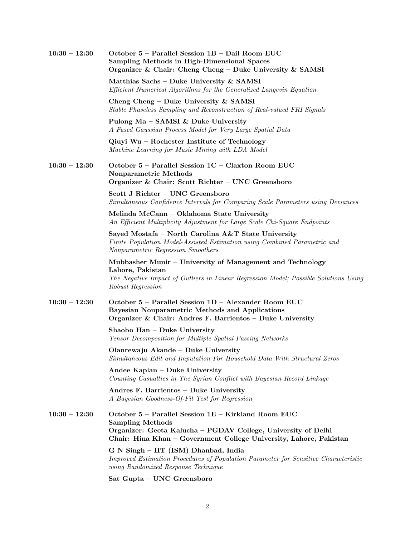| $10:30 - 12:30$ | October 5 - Parallel Session 1B - Dail Room EUC<br><b>Sampling Methods in High-Dimensional Spaces</b><br>Organizer & Chair: Cheng Cheng - Duke University & SAMSI                                                     |  |  |  |  |
|-----------------|-----------------------------------------------------------------------------------------------------------------------------------------------------------------------------------------------------------------------|--|--|--|--|
|                 | Matthias Sachs - Duke University & SAMSI<br>Efficient Numerical Algorithms for the Generalized Langevin Equation                                                                                                      |  |  |  |  |
|                 | Cheng Cheng – Duke University $&$ SAMSI<br>Stable Phaseless Sampling and Reconstruction of Real-valued FRI Signals                                                                                                    |  |  |  |  |
|                 | Pulong Ma $-$ SAMSI & Duke University<br>A Fused Gaussian Process Model for Very Large Spatial Data                                                                                                                   |  |  |  |  |
|                 | $Q$ iuyi Wu – Rochester Institute of Technology<br>Machine Learning for Music Mining with LDA Model                                                                                                                   |  |  |  |  |
| $10:30 - 12:30$ | October 5 - Parallel Session 1C - Claxton Room EUC<br>Nonparametric Methods<br>Organizer & Chair: Scott Richter - UNC Greensboro                                                                                      |  |  |  |  |
|                 | Scott J Richter - UNC Greensboro<br>Simultaneous Confidence Intervals for Comparing Scale Parameters using Deviances                                                                                                  |  |  |  |  |
|                 | Melinda McCann - Oklahoma State University<br>An Efficient Multiplicity Adjustment for Large Scale Chi-Square Endpoints                                                                                               |  |  |  |  |
|                 | Sayed Mostafa - North Carolina A&T State University<br>Finite Population Model-Assisted Estimation using Combined Parametric and<br>Nonparametric Regression Smoothers                                                |  |  |  |  |
|                 | Mubbasher Munir - University of Management and Technology<br>Lahore, Pakistan<br>The Negative Impact of Outliers in Linear Regression Model; Possible Solutions Using<br>Robust Regression                            |  |  |  |  |
| $10:30 - 12:30$ | October 5 - Parallel Session 1D - Alexander Room EUC<br><b>Bayesian Nonparametric Methods and Applications</b><br>Organizer & Chair: Andres F. Barrientos - Duke University                                           |  |  |  |  |
|                 | Shaobo Han - Duke University<br>Tensor Decomposition for Multiple Spatial Passing Networks                                                                                                                            |  |  |  |  |
|                 | Olanrewaju Akande – Duke University<br>Simultaneous Edit and Imputation For Household Data With Structural Zeros                                                                                                      |  |  |  |  |
|                 | Andee Kaplan - Duke University<br>Counting Casualties in The Syrian Conflict with Bayesian Record Linkage                                                                                                             |  |  |  |  |
|                 | Andres F. Barrientos - Duke University<br>A Bayesian Goodness-Of-Fit Test for Regression                                                                                                                              |  |  |  |  |
| $10:30 - 12:30$ | October 5 - Parallel Session 1E - Kirkland Room EUC<br><b>Sampling Methods</b><br>Organizer: Geeta Kalucha - PGDAV College, University of Delhi<br>Chair: Hina Khan – Government College University, Lahore, Pakistan |  |  |  |  |
|                 | G N Singh - IIT (ISM) Dhanbad, India<br>Improved Estimation Procedures of Population Parameter for Sensitive Characteristic<br>using Randomized Response Technique                                                    |  |  |  |  |
|                 | Sat Gupta - UNC Greensboro                                                                                                                                                                                            |  |  |  |  |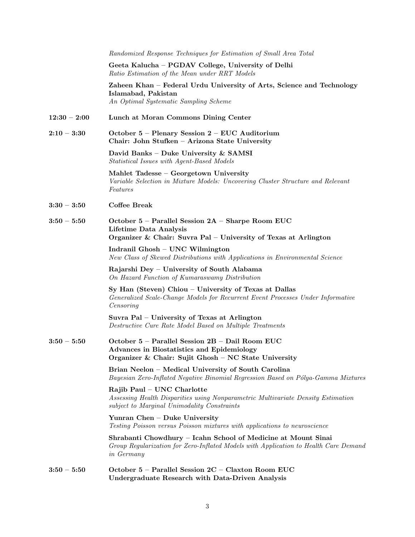|                | Randomized Response Techniques for Estimation of Small Area Total                                                                                                   |  |  |  |  |
|----------------|---------------------------------------------------------------------------------------------------------------------------------------------------------------------|--|--|--|--|
|                | Geeta Kalucha – PGDAV College, University of Delhi<br>Ratio Estimation of the Mean under RRT Models                                                                 |  |  |  |  |
|                | Zaheen Khan – Federal Urdu University of Arts, Science and Technology<br>Islamabad, Pakistan<br>An Optimal Systematic Sampling Scheme                               |  |  |  |  |
| $12:30 - 2:00$ | Lunch at Moran Commons Dining Center                                                                                                                                |  |  |  |  |
| $2:10 - 3:30$  | October 5 - Plenary Session 2 - EUC Auditorium<br>Chair: John Stufken - Arizona State University                                                                    |  |  |  |  |
|                | David Banks - Duke University & SAMSI<br>Statistical Issues with Agent-Based Models                                                                                 |  |  |  |  |
|                | Mahlet Tadesse - Georgetown University<br>Variable Selection in Mixture Models: Uncovering Cluster Structure and Relevant<br>Features                               |  |  |  |  |
| $3:30 - 3:50$  | Coffee Break                                                                                                                                                        |  |  |  |  |
| $3:50 - 5:50$  | October 5 - Parallel Session 2A - Sharpe Room EUC<br>Lifetime Data Analysis<br>Organizer & Chair: Suvra Pal – University of Texas at Arlington                      |  |  |  |  |
|                | Indranil Ghosh - UNC Wilmington<br>New Class of Skewed Distributions with Applications in Environmental Science                                                     |  |  |  |  |
|                | Rajarshi Dey - University of South Alabama<br>On Hazard Function of Kumaraswamy Distribution                                                                        |  |  |  |  |
|                | Sy Han (Steven) Chiou – University of Texas at Dallas<br>Generalized Scale-Change Models for Recurrent Event Processes Under Informative<br>Censoring               |  |  |  |  |
|                | Suvra Pal – University of Texas at Arlington<br>Destructive Cure Rate Model Based on Multiple Treatments                                                            |  |  |  |  |
| $3:50 - 5:50$  | October 5 - Parallel Session 2B - Dail Room EUC<br>Advances in Biostatistics and Epidemiology<br>Organizer & Chair: Sujit Ghosh - NC State University               |  |  |  |  |
|                | Brian Neelon – Medical University of South Carolina<br>Bayesian Zero-Inflated Negative Binomial Regression Based on Pólya-Gamma Mixtures                            |  |  |  |  |
|                | Rajib Paul - UNC Charlotte<br>Assessing Health Disparities using Nonparametric Multivariate Density Estimation<br>subject to Marginal Unimodality Constraints       |  |  |  |  |
|                | Yunran Chen - Duke University<br>Testing Poisson versus Poisson mixtures with applications to neuroscience                                                          |  |  |  |  |
|                | Shrabanti Chowdhury – Icahn School of Medicine at Mount Sinai<br>Group Regularization for Zero-Inflated Models with Application to Health Care Demand<br>in Germany |  |  |  |  |
| $3:50 - 5:50$  | October 5 - Parallel Session 2C - Claxton Room EUC<br><b>Undergraduate Research with Data-Driven Analysis</b>                                                       |  |  |  |  |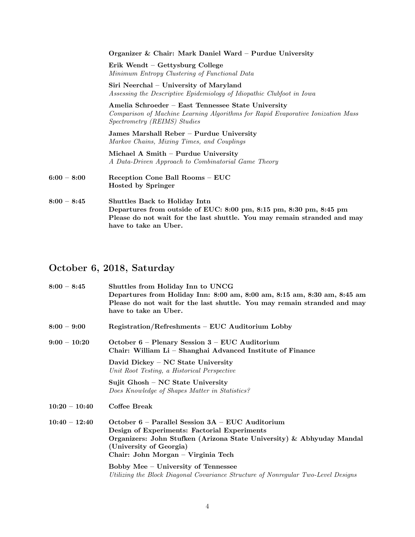|               | Organizer & Chair: Mark Daniel Ward - Purdue University                                                                                                                                                         |
|---------------|-----------------------------------------------------------------------------------------------------------------------------------------------------------------------------------------------------------------|
|               | Erik Wendt – Gettysburg College<br>Minimum Entropy Clustering of Functional Data                                                                                                                                |
|               | Siri Neerchal – University of Maryland<br>Assessing the Descriptive Epidemiology of Idiopathic Clubfoot in Iowa                                                                                                 |
|               | Amelia Schroeder – East Tennessee State University<br>Comparison of Machine Learning Algorithms for Rapid Evaporative Ionization Mass<br>Spectrometry (REIMS) Studies                                           |
|               | James Marshall Reber – Purdue University<br>Markov Chains, Mixing Times, and Couplings                                                                                                                          |
|               | Michael A Smith - Purdue University<br>A Data-Driven Approach to Combinatorial Game Theory                                                                                                                      |
| $6:00-8:00$   | Reception Cone Ball Rooms – EUC<br><b>Hosted by Springer</b>                                                                                                                                                    |
| $8:00 - 8:45$ | <b>Shuttles Back to Holiday Intn</b><br>Departures from outside of EUC: 8:00 pm, 8:15 pm, 8:30 pm, 8:45 pm<br>Please do not wait for the last shuttle. You may remain stranded and may<br>have to take an Uber. |

# October 6, 2018, Saturday

| $8:00 - 8:45$   | Shuttles from Holiday Inn to UNCG<br>Departures from Holiday Inn: 8:00 am, 8:00 am, 8:15 am, 8:30 am, 8:45 am<br>Please do not wait for the last shuttle. You may remain stranded and may<br>have to take an Uber.                             |  |  |  |
|-----------------|------------------------------------------------------------------------------------------------------------------------------------------------------------------------------------------------------------------------------------------------|--|--|--|
| $8:00 - 9:00$   | Registration/Refreshments - EUC Auditorium Lobby                                                                                                                                                                                               |  |  |  |
| $9:00 - 10:20$  | October $6$ – Plenary Session $3$ – EUC Auditorium<br>Chair: William Li - Shanghai Advanced Institute of Finance                                                                                                                               |  |  |  |
|                 | David Dickey – NC State University<br>Unit Root Testing, a Historical Perspective                                                                                                                                                              |  |  |  |
|                 | Sujit Ghosh – NC State University<br>Does Knowledge of Shapes Matter in Statistics?                                                                                                                                                            |  |  |  |
| $10:20 - 10:40$ | Coffee Break                                                                                                                                                                                                                                   |  |  |  |
| $10:40 - 12:40$ | October $6$ – Parallel Session $3A$ – EUC Auditorium<br>Design of Experiments: Factorial Experiments<br>Organizers: John Stufken (Arizona State University) & Abhyuday Mandal<br>(University of Georgia)<br>Chair: John Morgan – Virginia Tech |  |  |  |
|                 | Bobby Mee - University of Tennessee<br>Utilizing the Block Diagonal Covariance Structure of Nonregular Two-Level Designs                                                                                                                       |  |  |  |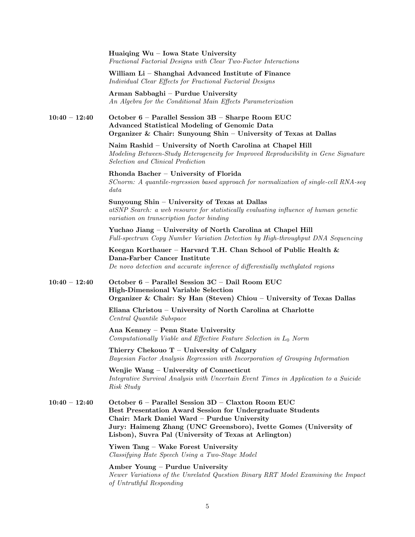Huaiqing Wu – Iowa State University Fractional Factorial Designs with Clear Two-Factor Interactions William Li – Shanghai Advanced Institute of Finance Individual Clear Effects for Fractional Factorial Designs Arman Sabbaghi – Purdue University An Algebra for the Conditional Main Effects Parameterization 10:40 – 12:40 October 6 – Parallel Session 3B – Sharpe Room EUC Advanced Statistical Modeling of Genomic Data Organizer & Chair: Sunyoung Shin – University of Texas at Dallas Naim Rashid – University of North Carolina at Chapel Hill Modeling Between-Study Heterogeneity for Improved Reproducibility in Gene Signature Selection and Clinical Prediction Rhonda Bacher – University of Florida SCnorm: A quantile-regression based approach for normalization of single-cell RNA-seq data Sunyoung Shin – University of Texas at Dallas atSNP Search: a web resource for statistically evaluating influence of human genetic variation on transcription factor binding Yuchao Jiang – University of North Carolina at Chapel Hill Full-spectrum Copy Number Variation Detection by High-throughput DNA Sequencing Keegan Korthauer – Harvard T.H. Chan School of Public Health  $\&$ Dana-Farber Cancer Institute De novo detection and accurate inference of differentially methylated regions 10:40 – 12:40 October 6 – Parallel Session 3C – Dail Room EUC High-Dimensional Variable Selection Organizer & Chair: Sy Han (Steven) Chiou – University of Texas Dallas Eliana Christou – University of North Carolina at Charlotte Central Quantile Subspace Ana Kenney – Penn State University  $Computationally\ Value\ and\ Effective\ Feature\ Selection\ in\ L_0\ Norm$ Thierry Chekouo  $T -$  University of Calgary Bayesian Factor Analysis Regression with Incorporation of Grouping Information Wenjie Wang – University of Connecticut Integrative Survival Analysis with Uncertain Event Times in Application to a Suicide Risk Study  $10:40 - 12:40$  October 6 – Parallel Session 3D – Claxton Room EUC Best Presentation Award Session for Undergraduate Students Chair: Mark Daniel Ward – Purdue University Jury: Haimeng Zhang (UNC Greensboro), Ivette Gomes (University of Lisbon), Suvra Pal (University of Texas at Arlington) Yiwen Tang – Wake Forest University Classifying Hate Speech Using a Two-Stage Model Amber Young – Purdue University Newer Variations of the Unrelated Question Binary RRT Model Examining the Impact of Untruthful Responding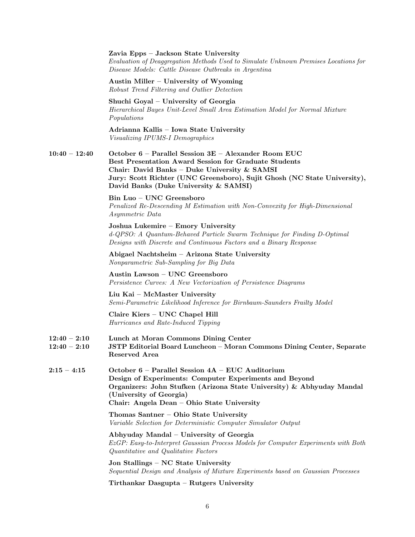|                                  | Zavia Epps - Jackson State University<br>Evaluation of Deaggregation Methods Used to Simulate Unknown Premises Locations for<br>Disease Models: Cattle Disease Outbreaks in Argentina                                                                                                     |  |  |  |
|----------------------------------|-------------------------------------------------------------------------------------------------------------------------------------------------------------------------------------------------------------------------------------------------------------------------------------------|--|--|--|
|                                  | Austin Miller – University of Wyoming<br>Robust Trend Filtering and Outlier Detection                                                                                                                                                                                                     |  |  |  |
|                                  | Shuchi Goyal – University of Georgia<br>Hierarchical Bayes Unit-Level Small Area Estimation Model for Normal Mixture<br>Populations                                                                                                                                                       |  |  |  |
|                                  | Adrianna Kallis - Iowa State University<br>Visualizing IPUMS-I Demographics                                                                                                                                                                                                               |  |  |  |
| $10:40 - 12:40$                  | October 6 - Parallel Session 3E - Alexander Room EUC<br><b>Best Presentation Award Session for Graduate Students</b><br>Chair: David Banks - Duke University & SAMSI<br>Jury: Scott Richter (UNC Greensboro), Sujit Ghosh (NC State University),<br>David Banks (Duke University & SAMSI) |  |  |  |
|                                  | Bin Luo - UNC Greensboro<br>Penalized Re-Descending M Estimation with Non-Convexity for High-Dimensional<br><i>Asymmetric Data</i>                                                                                                                                                        |  |  |  |
|                                  | Joshua Lukemire - Emory University<br>d-QPSO: A Quantum-Behaved Particle Swarm Technique for Finding D-Optimal<br>Designs with Discrete and Continuous Factors and a Binary Response                                                                                                      |  |  |  |
|                                  | Abigael Nachtsheim - Arizona State University<br>Nonparametric Sub-Sampling for Big Data                                                                                                                                                                                                  |  |  |  |
|                                  | Austin Lawson - UNC Greensboro<br>Persistence Curves: A New Vectorization of Persistence Diagrams                                                                                                                                                                                         |  |  |  |
|                                  | Liu Kai – McMaster University<br>Semi-Parametric Likelihood Inference for Birnbaum-Saunders Frailty Model                                                                                                                                                                                 |  |  |  |
|                                  | Claire Kiers - UNC Chapel Hill<br>Hurricanes and Rate-Induced Tipping                                                                                                                                                                                                                     |  |  |  |
| $12:40 - 2:10$<br>$12:40 - 2:10$ | Lunch at Moran Commons Dining Center<br>JSTP Editorial Board Luncheon - Moran Commons Dining Center, Separate<br>Reserved Area                                                                                                                                                            |  |  |  |
| $2:15 - 4:15$                    | October 6 - Parallel Session 4A - EUC Auditorium<br>Design of Experiments: Computer Experiments and Beyond<br>Organizers: John Stufken (Arizona State University) & Abhyuday Mandal<br>(University of Georgia)<br>Chair: Angela Dean - Ohio State University                              |  |  |  |
|                                  | Thomas Santner - Ohio State University<br>Variable Selection for Deterministic Computer Simulator Output                                                                                                                                                                                  |  |  |  |
|                                  | Abhyuday Mandal – University of Georgia<br>EzGP: Easy-to-Interpret Gaussian Process Models for Computer Experiments with Both<br>Quantitative and Qualitative Factors                                                                                                                     |  |  |  |
|                                  | Jon Stallings - NC State University<br>Sequential Design and Analysis of Mixture Experiments based on Gaussian Processes                                                                                                                                                                  |  |  |  |
|                                  | Tirthankar Dasgupta – Rutgers University                                                                                                                                                                                                                                                  |  |  |  |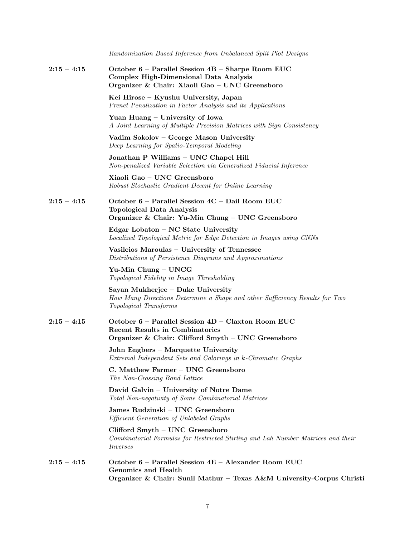|               | Randomization Based Inference from Unbalanced Split Plot Designs                                                                                     |
|---------------|------------------------------------------------------------------------------------------------------------------------------------------------------|
| $2:15 - 4:15$ | October 6 - Parallel Session 4B - Sharpe Room EUC<br><b>Complex High-Dimensional Data Analysis</b><br>Organizer & Chair: Xiaoli Gao - UNC Greensboro |
|               | Kei Hirose - Kyushu University, Japan<br>Prenet Penalization in Factor Analysis and its Applications                                                 |
|               | Yuan Huang – University of Iowa<br>A Joint Learning of Multiple Precision Matrices with Sign Consistency                                             |
|               | Vadim Sokolov - George Mason University<br>Deep Learning for Spatio-Temporal Modeling                                                                |
|               | Jonathan P Williams - UNC Chapel Hill<br>Non-penalized Variable Selection via Generalized Fiducial Inference                                         |
|               | Xiaoli Gao - UNC Greensboro<br>Robust Stochastic Gradient Decent for Online Learning                                                                 |
| $2:15 - 4:15$ | October 6 - Parallel Session 4C - Dail Room EUC<br><b>Topological Data Analysis</b><br>Organizer & Chair: Yu-Min Chung - UNC Greensboro              |
|               | Edgar Lobaton - NC State University<br>Localized Topological Metric for Edge Detection in Images using CNNs                                          |
|               | Vasileios Maroulas - University of Tennessee<br>Distributions of Persistence Diagrams and Approximations                                             |
|               | Yu-Min Chung – UNCG<br>Topological Fidelity in Image Thresholding                                                                                    |
|               | Sayan Mukherjee – Duke University<br>How Many Directions Determine a Shape and other Sufficiency Results for Two<br>Topological Transforms           |
| $2:15 - 4:15$ | October 6 - Parallel Session 4D - Claxton Room EUC<br>Recent Results in Combinatorics<br>Organizer & Chair: Clifford Smyth - UNC Greensboro          |
|               | John Engbers - Marquette University<br>Extremal Independent Sets and Colorings in k-Chromatic Graphs                                                 |
|               | C. Matthew Farmer - UNC Greensboro<br>The Non-Crossing Bond Lattice                                                                                  |
|               | David Galvin - University of Notre Dame<br>Total Non-negativity of Some Combinatorial Matrices                                                       |
|               | James Rudzinski – UNC Greensboro<br><i>Efficient Generation of Unlabeled Graphs</i>                                                                  |
|               | Clifford Smyth - UNC Greensboro<br>Combinatorial Formulas for Restricted Stirling and Lah Number Matrices and their<br><i>Inverses</i>               |
| $2:15-4:15$   | October 6 - Parallel Session 4E - Alexander Room EUC<br>Genomics and Health<br>Organizer & Chair: Sunil Mathur - Texas A&M University-Corpus Christi |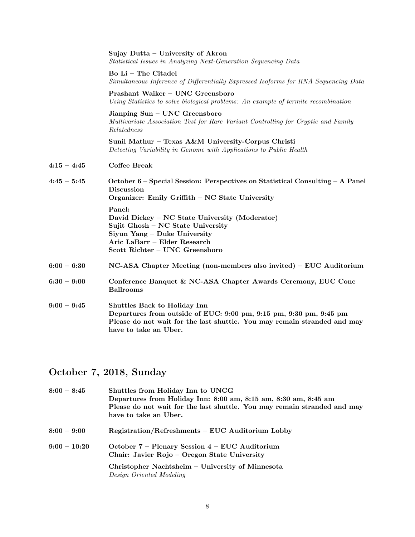|               | Sujay Dutta – University of Akron<br>Statistical Issues in Analyzing Next-Generation Sequencing Data                                                                                                    |  |  |  |  |
|---------------|---------------------------------------------------------------------------------------------------------------------------------------------------------------------------------------------------------|--|--|--|--|
|               | Bo Li - The Citadel<br>Simultaneous Inference of Differentially Expressed Isoforms for RNA Sequencing Data                                                                                              |  |  |  |  |
|               | Prashant Waiker - UNC Greensboro<br>Using Statistics to solve biological problems: An example of termite recombination                                                                                  |  |  |  |  |
|               | Jianping Sun - UNC Greensboro<br>Multivariate Association Test for Rare Variant Controlling for Cryptic and Family<br>Relatedness                                                                       |  |  |  |  |
|               | Sunil Mathur - Texas A&M University-Corpus Christi<br>Detecting Variability in Genome with Applications to Public Health                                                                                |  |  |  |  |
| $4:15 - 4:45$ | <b>Coffee Break</b>                                                                                                                                                                                     |  |  |  |  |
| $4:45 - 5:45$ | October $6$ – Special Session: Perspectives on Statistical Consulting – A Panel<br><b>Discussion</b><br>Organizer: Emily Griffith - NC State University                                                 |  |  |  |  |
|               | Panel:<br>David Dickey – NC State University (Moderator)<br>Sujit Ghosh - NC State University<br>Siyun Yang – Duke University<br>Aric LaBarr - Elder Research<br>Scott Richter - UNC Greensboro         |  |  |  |  |
| $6:00 - 6:30$ | $NC-ASA$ Chapter Meeting (non-members also invited) – EUC Auditorium                                                                                                                                    |  |  |  |  |
| $6:30 - 9:00$ | Conference Banquet & NC-ASA Chapter Awards Ceremony, EUC Cone<br><b>Ballrooms</b>                                                                                                                       |  |  |  |  |
| $9:00 - 9:45$ | Shuttles Back to Holiday Inn<br>Departures from outside of EUC: 9:00 pm, 9:15 pm, 9:30 pm, 9:45 pm<br>Please do not wait for the last shuttle. You may remain stranded and may<br>have to take an Uber. |  |  |  |  |

## October 7, 2018, Sunday

| $8:00 - 8:45$ | Shuttles from Holiday Inn to UNCG<br>Departures from Holiday Inn: 8:00 am, 8:15 am, 8:30 am, 8:45 am<br>Please do not wait for the last shuttle. You may remain stranded and may<br>have to take an Uber. |  |  |  |  |  |
|---------------|-----------------------------------------------------------------------------------------------------------------------------------------------------------------------------------------------------------|--|--|--|--|--|
| $8:00 - 9:00$ | Registration/Refreshments – EUC Auditorium Lobby                                                                                                                                                          |  |  |  |  |  |
| $9:00-10:20$  | October $7$ – Plenary Session $4$ – EUC Auditorium<br>Chair: Javier Rojo - Oregon State University                                                                                                        |  |  |  |  |  |
|               | Christopher Nachtsheim – University of Minnesota<br>Design Oriented Modeling                                                                                                                              |  |  |  |  |  |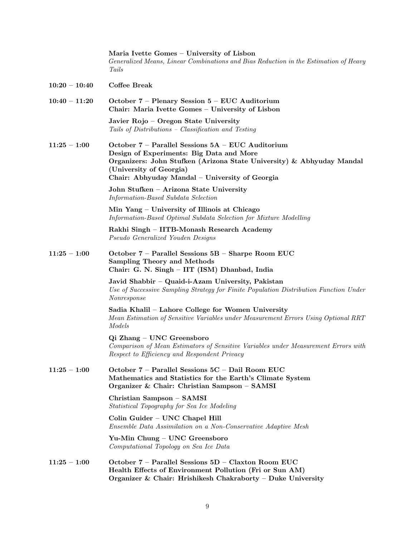|                 | Maria Ivette Gomes – University of Lisbon<br>Generalized Means, Linear Combinations and Bias Reduction in the Estimation of Heavy<br>Tails                                                                                                          |
|-----------------|-----------------------------------------------------------------------------------------------------------------------------------------------------------------------------------------------------------------------------------------------------|
| $10:20 - 10:40$ | <b>Coffee Break</b>                                                                                                                                                                                                                                 |
| $10:40 - 11:20$ | October $7$ – Plenary Session $5$ – EUC Auditorium<br>Chair: Maria Ivette Gomes - University of Lisbon                                                                                                                                              |
|                 | Javier Rojo – Oregon State University<br>Tails of Distributions - Classification and Testing                                                                                                                                                        |
| $11:25-1:00$    | October 7 - Parallel Sessions 5A - EUC Auditorium<br>Design of Experiments: Big Data and More<br>Organizers: John Stufken (Arizona State University) & Abhyuday Mandal<br>(University of Georgia)<br>Chair: Abhyuday Mandal - University of Georgia |
|                 | John Stufken - Arizona State University<br>Information-Based Subdata Selection                                                                                                                                                                      |
|                 | Min Yang – University of Illinois at Chicago<br>Information-Based Optimal Subdata Selection for Mixture Modelling                                                                                                                                   |
|                 | Rakhi Singh - IITB-Monash Research Academy<br>Pseudo Generalized Youden Designs                                                                                                                                                                     |
| $11:25-1:00$    | October 7 - Parallel Sessions 5B - Sharpe Room EUC<br><b>Sampling Theory and Methods</b><br>Chair: G. N. Singh - IIT (ISM) Dhanbad, India                                                                                                           |
|                 | Javid Shabbir - Quaid-i-Azam University, Pakistan<br>Use of Successive Sampling Strategy for Finite Population Distribution Function Under<br><i>Nonresponse</i>                                                                                    |
|                 | Sadia Khalil - Lahore College for Women University<br>Mean Estimation of Sensitive Variables under Measurement Errors Using Optional RRT<br>Models                                                                                                  |
|                 | Qi Zhang – UNC Greensboro<br>Comparison of Mean Estimators of Sensitive Variables under Measurement Errors with<br>Respect to Efficiency and Respondent Privacy                                                                                     |
| $11:25 - 1:00$  | October 7 - Parallel Sessions 5C - Dail Room EUC<br>Mathematics and Statistics for the Earth's Climate System<br>Organizer & Chair: Christian Sampson - SAMSI                                                                                       |
|                 | Christian Sampson - SAMSI<br>Statistical Topography for Sea Ice Modeling                                                                                                                                                                            |
|                 | Colin Guider - UNC Chapel Hill<br>Ensemble Data Assimilation on a Non-Conservative Adaptive Mesh                                                                                                                                                    |
|                 | Yu-Min Chung – UNC Greensboro<br>Computational Topology on Sea Ice Data                                                                                                                                                                             |
| $11:25-1:00$    | October 7 - Parallel Sessions 5D - Claxton Room EUC<br>Health Effects of Environment Pollution (Fri or Sun AM)<br>Organizer & Chair: Hrishikesh Chakraborty - Duke University                                                                       |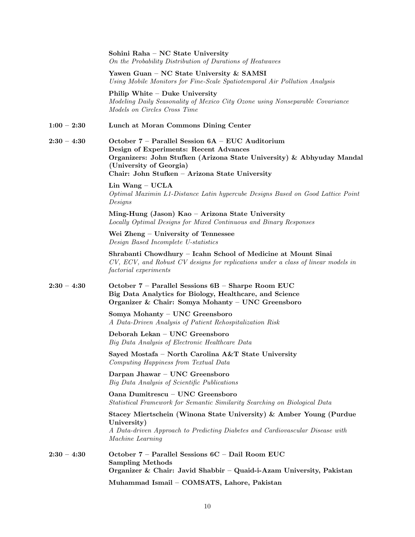|               | Sohini Raha - NC State University<br>On the Probability Distribution of Durations of Heatwaves                                                                                                                                                   |  |  |  |  |
|---------------|--------------------------------------------------------------------------------------------------------------------------------------------------------------------------------------------------------------------------------------------------|--|--|--|--|
|               | Yawen Guan - NC State University & SAMSI<br>Using Mobile Monitors for Fine-Scale Spatiotemporal Air Pollution Analysis                                                                                                                           |  |  |  |  |
|               | Philip White – Duke University<br>Modeling Daily Seasonality of Mexico City Ozone using Nonseparable Covariance<br>Models on Circles Cross Time                                                                                                  |  |  |  |  |
| $1:00 - 2:30$ | Lunch at Moran Commons Dining Center                                                                                                                                                                                                             |  |  |  |  |
| $2:30 - 4:30$ | October 7 - Parallel Session 6A - EUC Auditorium<br>Design of Experiments: Recent Advances<br>Organizers: John Stufken (Arizona State University) & Abhyuday Mandal<br>(University of Georgia)<br>Chair: John Stufken - Arizona State University |  |  |  |  |
|               | Lin Wang $-$ UCLA<br>Optimal Maximin L1-Distance Latin hypercube Designs Based on Good Lattice Point<br>Designs                                                                                                                                  |  |  |  |  |
|               | Ming-Hung (Jason) Kao – Arizona State University<br>Locally Optimal Designs for Mixed Continuous and Binary Responses                                                                                                                            |  |  |  |  |
|               | Wei Zheng - University of Tennessee<br>Design Based Incomplete U-statistics                                                                                                                                                                      |  |  |  |  |
|               | Shrabanti Chowdhury - Icahn School of Medicine at Mount Sinai<br>CV, ECV, and Robust CV designs for replications under a class of linear models in<br>factorial experiments                                                                      |  |  |  |  |
| $2:30 - 4:30$ | October 7 - Parallel Sessions 6B - Sharpe Room EUC<br>Big Data Analytics for Biology, Healthcare, and Science<br>Organizer & Chair: Somya Mohanty - UNC Greensboro                                                                               |  |  |  |  |
|               | Somya Mohanty - UNC Greensboro<br>A Data-Driven Analysis of Patient Rehospitalization Risk                                                                                                                                                       |  |  |  |  |
|               | Deborah Lekan - UNC Greensboro<br>Big Data Analysis of Electronic Healthcare Data                                                                                                                                                                |  |  |  |  |
|               | Sayed Mostafa - North Carolina A&T State University<br>Computing Happiness from Textual Data                                                                                                                                                     |  |  |  |  |
|               | Darpan Jhawar - UNC Greensboro<br>Big Data Analysis of Scientific Publications                                                                                                                                                                   |  |  |  |  |
|               | Oana Dumitrescu - UNC Greensboro<br>Statistical Framework for Semantic Similarity Searching on Biological Data                                                                                                                                   |  |  |  |  |
|               | Stacey Miertschein (Winona State University) & Amber Young (Purdue<br>University)<br>A Data-driven Approach to Predicting Diabetes and Cardiovascular Disease with<br>Machine Learning                                                           |  |  |  |  |
| $2:30 - 4:30$ | October 7 - Parallel Sessions 6C - Dail Room EUC<br><b>Sampling Methods</b><br>Organizer & Chair: Javid Shabbir - Quaid-i-Azam University, Pakistan                                                                                              |  |  |  |  |
|               | Muhammad Ismail - COMSATS, Lahore, Pakistan                                                                                                                                                                                                      |  |  |  |  |